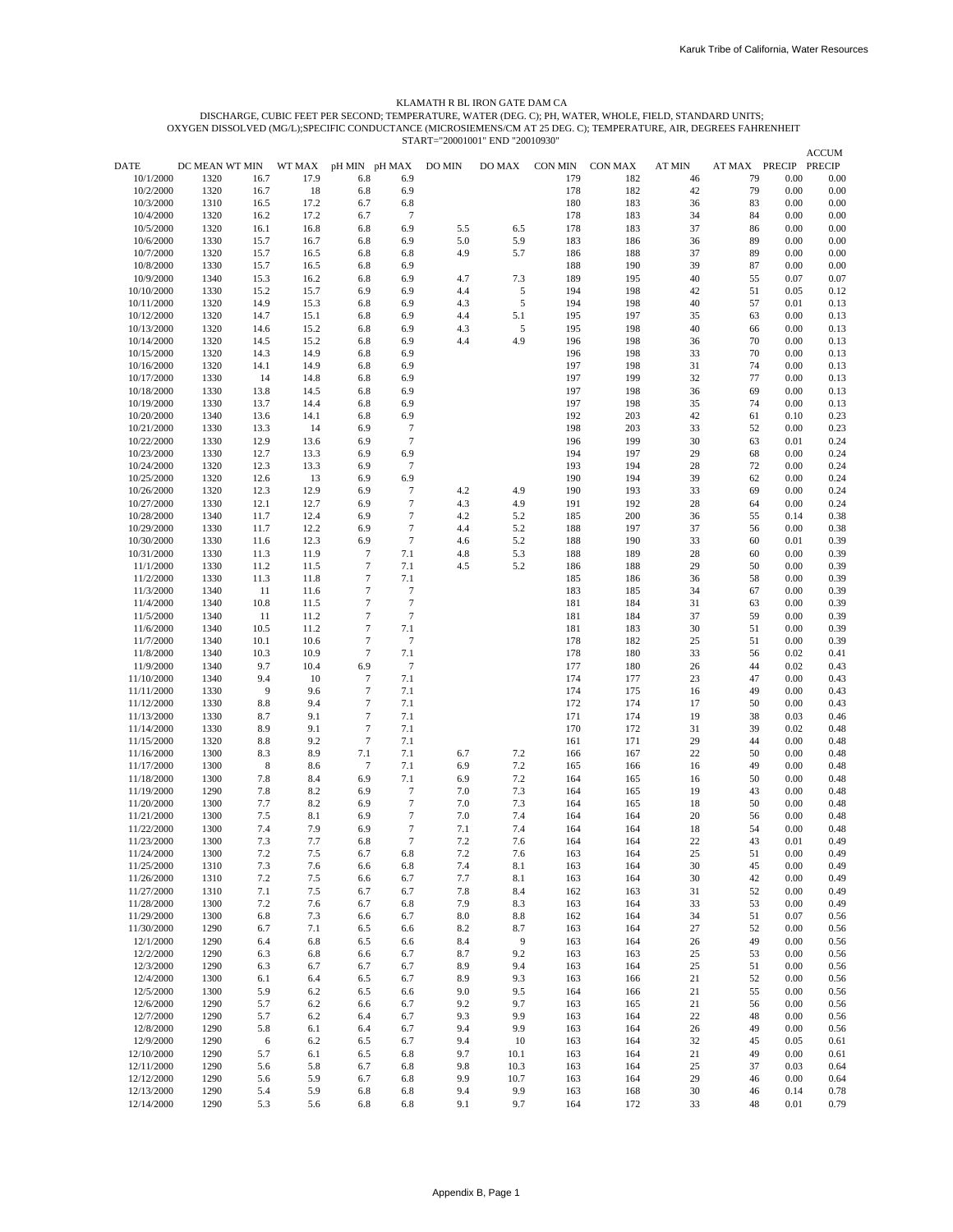### START="20001001" END "20010930" OXYGEN DISSOLVED (MG/L);SPECIFIC CONDUCTANCE (MICROSIEMENS/CM AT 25 DEG. C); TEMPERATURE, AIR, DEGREES FAHRENHEIT DISCHARGE, CUBIC FEET PER SECOND; TEMPERATURE, WATER (DEG. C); PH, WATER, WHOLE, FIELD, STANDARD UNITS; KLAMATH R BL IRON GATE DAM CA

| DATE                     | DC MEAN WT MIN |                | WT MAX       |                      |                                      | DO MIN     | DO MAX         | CON MIN    | CON MAX    | AT MIN   | AT MAX PRECIP |              | <b>ACCUM</b><br><b>PRECIP</b> |
|--------------------------|----------------|----------------|--------------|----------------------|--------------------------------------|------------|----------------|------------|------------|----------|---------------|--------------|-------------------------------|
| 10/1/2000                | 1320           | 16.7           | 17.9         | pH MIN pH MAX<br>6.8 | 6.9                                  |            |                | 179        | 182        | 46       | 79            | 0.00         | 0.00                          |
| 10/2/2000                | 1320           | 16.7           | 18           | 6.8                  | 6.9                                  |            |                | 178        | 182        | 42       | 79            | 0.00         | 0.00                          |
| 10/3/2000                | 1310           | 16.5           | 17.2         | 6.7                  | 6.8                                  |            |                | 180        | 183        | 36       | 83            | 0.00         | 0.00                          |
| 10/4/2000                | 1320           | 16.2           | 17.2         | 6.7                  | $\boldsymbol{7}$                     |            |                | 178        | 183        | 34       | 84            | 0.00         | 0.00                          |
| 10/5/2000                | 1320           | 16.1           | 16.8         | 6.8                  | 6.9                                  | 5.5        | 6.5            | 178        | 183        | 37       | 86            | 0.00         | 0.00                          |
| 10/6/2000<br>10/7/2000   | 1330<br>1320   | 15.7<br>15.7   | 16.7         | 6.8<br>6.8           | 6.9                                  | 5.0<br>4.9 | 5.9<br>5.7     | 183<br>186 | 186<br>188 | 36<br>37 | 89<br>89      | 0.00<br>0.00 | 0.00<br>0.00                  |
| 10/8/2000                | 1330           | 15.7           | 16.5<br>16.5 | 6.8                  | 6.8<br>6.9                           |            |                | 188        | 190        | 39       | 87            | 0.00         | 0.00                          |
| 10/9/2000                | 1340           | 15.3           | 16.2         | 6.8                  | 6.9                                  | 4.7        | 7.3            | 189        | 195        | 40       | 55            | 0.07         | 0.07                          |
| 10/10/2000               | 1330           | 15.2           | 15.7         | 6.9                  | 6.9                                  | 4.4        | 5              | 194        | 198        | 42       | 51            | 0.05         | 0.12                          |
| 10/11/2000               | 1320           | 14.9           | 15.3         | 6.8                  | 6.9                                  | 4.3        | 5              | 194        | 198        | 40       | 57            | 0.01         | 0.13                          |
| 10/12/2000               | 1320           | 14.7           | 15.1         | 6.8                  | 6.9                                  | 4.4        | 5.1            | 195        | 197        | 35       | 63            | 0.00         | 0.13                          |
| 10/13/2000               | 1320           | 14.6           | 15.2         | 6.8                  | 6.9                                  | 4.3        | 5              | 195        | 198        | 40       | 66            | 0.00         | 0.13                          |
| 10/14/2000<br>10/15/2000 | 1320<br>1320   | 14.5<br>14.3   | 15.2<br>14.9 | 6.8<br>6.8           | 6.9<br>6.9                           | 4.4        | 4.9            | 196<br>196 | 198<br>198 | 36<br>33 | 70<br>70      | 0.00<br>0.00 | 0.13<br>0.13                  |
| 10/16/2000               | 1320           | 14.1           | 14.9         | 6.8                  | 6.9                                  |            |                | 197        | 198        | 31       | 74            | 0.00         | 0.13                          |
| 10/17/2000               | 1330           | 14             | 14.8         | 6.8                  | 6.9                                  |            |                | 197        | 199        | 32       | 77            | 0.00         | 0.13                          |
| 10/18/2000               | 1330           | 13.8           | 14.5         | 6.8                  | 6.9                                  |            |                | 197        | 198        | 36       | 69            | 0.00         | 0.13                          |
| 10/19/2000               | 1330           | 13.7           | 14.4         | 6.8                  | 6.9                                  |            |                | 197        | 198        | 35       | 74            | 0.00         | 0.13                          |
| 10/20/2000               | 1340           | 13.6           | 14.1         | 6.8                  | 6.9                                  |            |                | 192        | 203        | 42       | 61            | 0.10         | 0.23                          |
| 10/21/2000<br>10/22/2000 | 1330<br>1330   | 13.3<br>12.9   | 14<br>13.6   | 6.9<br>6.9           | $\boldsymbol{7}$<br>$\boldsymbol{7}$ |            |                | 198<br>196 | 203<br>199 | 33<br>30 | 52<br>63      | 0.00<br>0.01 | 0.23<br>0.24                  |
| 10/23/2000               | 1330           | 12.7           | 13.3         | 6.9                  | 6.9                                  |            |                | 194        | 197        | 29       | 68            | 0.00         | 0.24                          |
| 10/24/2000               | 1320           | 12.3           | 13.3         | 6.9                  | $\overline{7}$                       |            |                | 193        | 194        | 28       | 72            | 0.00         | 0.24                          |
| 10/25/2000               | 1320           | 12.6           | 13           | 6.9                  | 6.9                                  |            |                | 190        | 194        | 39       | 62            | 0.00         | 0.24                          |
| 10/26/2000               | 1320           | 12.3           | 12.9         | 6.9                  | 7                                    | 4.2        | 4.9            | 190        | 193        | 33       | 69            | 0.00         | 0.24                          |
| 10/27/2000               | 1330           | 12.1           | 12.7         | 6.9                  | $\boldsymbol{7}$                     | 4.3        | 4.9            | 191        | 192        | 28       | 64            | 0.00         | 0.24                          |
| 10/28/2000               | 1340           | 11.7           | 12.4         | 6.9                  | $\tau$                               | 4.2        | 5.2            | 185        | 200        | 36       | 55            | 0.14         | 0.38                          |
| 10/29/2000<br>10/30/2000 | 1330<br>1330   | 11.7<br>11.6   | 12.2<br>12.3 | 6.9<br>6.9           | $\tau$<br>$\boldsymbol{7}$           | 4.4<br>4.6 | 5.2<br>5.2     | 188<br>188 | 197<br>190 | 37<br>33 | 56<br>60      | 0.00<br>0.01 | 0.38<br>0.39                  |
| 10/31/2000               | 1330           | 11.3           | 11.9         | $\boldsymbol{7}$     | 7.1                                  | 4.8        | 5.3            | 188        | 189        | 28       | 60            | 0.00         | 0.39                          |
| 11/1/2000                | 1330           | 11.2           | 11.5         | $\overline{7}$       | 7.1                                  | 4.5        | 5.2            | 186        | 188        | 29       | 50            | 0.00         | 0.39                          |
| 11/2/2000                | 1330           | 11.3           | 11.8         | $\tau$               | 7.1                                  |            |                | 185        | 186        | 36       | 58            | 0.00         | 0.39                          |
| 11/3/2000                | 1340           | 11             | 11.6         | $\tau$               | $\boldsymbol{7}$                     |            |                | 183        | 185        | 34       | 67            | 0.00         | 0.39                          |
| 11/4/2000                | 1340           | 10.8           | 11.5         | $\tau$               | $\boldsymbol{7}$                     |            |                | 181        | 184        | 31       | 63            | 0.00         | 0.39                          |
| 11/5/2000<br>11/6/2000   | 1340<br>1340   | 11<br>10.5     | 11.2<br>11.2 | $\tau$<br>$\tau$     | $\tau$<br>7.1                        |            |                | 181<br>181 | 184<br>183 | 37<br>30 | 59<br>51      | 0.00<br>0.00 | 0.39<br>0.39                  |
| 11/7/2000                | 1340           | 10.1           | 10.6         | $\tau$               | $\overline{7}$                       |            |                | 178        | 182        | 25       | 51            | 0.00         | 0.39                          |
| 11/8/2000                | 1340           | 10.3           | 10.9         | $\tau$               | 7.1                                  |            |                | 178        | 180        | 33       | 56            | 0.02         | 0.41                          |
| 11/9/2000                | 1340           | 9.7            | 10.4         | 6.9                  | $\boldsymbol{7}$                     |            |                | 177        | 180        | 26       | 44            | 0.02         | 0.43                          |
| 11/10/2000               | 1340           | 9.4            | 10           | $\boldsymbol{7}$     | 7.1                                  |            |                | 174        | 177        | 23       | 47            | 0.00         | 0.43                          |
| 11/11/2000               | 1330           | 9              | 9.6          | $\overline{7}$       | 7.1                                  |            |                | 174        | 175        | 16       | 49            | 0.00         | 0.43                          |
| 11/12/2000<br>11/13/2000 | 1330<br>1330   | 8.8<br>8.7     | 9.4<br>9.1   | $\tau$<br>$\tau$     | 7.1<br>7.1                           |            |                | 172<br>171 | 174<br>174 | 17<br>19 | 50<br>38      | 0.00<br>0.03 | 0.43<br>0.46                  |
| 11/14/2000               | 1330           | 8.9            | 9.1          | $\tau$               | 7.1                                  |            |                | 170        | 172        | 31       | 39            | 0.02         | 0.48                          |
| 11/15/2000               | 1320           | 8.8            | 9.2          | $\boldsymbol{7}$     | 7.1                                  |            |                | 161        | 171        | 29       | 44            | 0.00         | 0.48                          |
| 11/16/2000               | 1300           | 8.3            | 8.9          | 7.1                  | 7.1                                  | 6.7        | 7.2            | 166        | 167        | 22       | 50            | 0.00         | 0.48                          |
| 11/17/2000               | 1300           | $8\phantom{1}$ | 8.6          | $\tau$               | 7.1                                  | 6.9        | 7.2            | 165        | 166        | 16       | 49            | 0.00         | 0.48                          |
| 11/18/2000               | 1300           | 7.8            | 8.4          | 6.9                  | 7.1                                  | 6.9        | 7.2            | 164        | 165        | 16       | 50            | 0.00         | 0.48                          |
| 11/19/2000<br>11/20/2000 | 1290<br>1300   | 7.8<br>7.7     | 8.2<br>8.2   | 6.9<br>6.9           | $7\phantom{.0}$<br>$\boldsymbol{7}$  | 7.0<br>7.0 | 7.3<br>7.3     | 164<br>164 | 165<br>165 | 19<br>18 | 43<br>50      | 0.00<br>0.00 | 0.48<br>0.48                  |
| 11/21/2000               | 1300           | 7.5            | 8.1          | 6.9                  | $\tau$                               | 7.0        | 7.4            | 164        | 164        | 20       | 56            | 0.00         | 0.48                          |
| 11/22/2000               | 1300           | 7.4            | 7.9          | 6.9                  | $\tau$                               | 7.1        | 7.4            | 164        | 164        | 18       | 54            | 0.00         | 0.48                          |
| 11/23/2000               | 1300           | 7.3            | 7.7          | 6.8                  | $\overline{7}$                       | 7.2        | 7.6            | 164        | 164        | 22       | 43            | 0.01         | 0.49                          |
| 11/24/2000               | 1300           | 7.2            | 7.5          | 6.7                  | 6.8                                  | 7.2        | 7.6            | 163        | 164        | 25       | 51            | 0.00         | 0.49                          |
| 11/25/2000               | 1310           | 7.3            | 7.6          | 6.6                  | 6.8                                  | 7.4        | 8.1            | 163        | 164        | 30       | 45            | 0.00         | 0.49                          |
| 11/26/2000<br>11/27/2000 | 1310<br>1310   | 7.2<br>7.1     | 7.5<br>7.5   | 6.6                  | 6.7                                  | 7.7        | 8.1<br>8.4     | 163        | 164        | 30<br>31 | 42<br>52      | 0.00<br>0.00 | 0.49<br>0.49                  |
| 11/28/2000               | 1300           | 7.2            | 7.6          | 6.7<br>6.7           | 6.7<br>6.8                           | 7.8<br>7.9 | 8.3            | 162<br>163 | 163<br>164 | 33       | 53            | 0.00         | 0.49                          |
| 11/29/2000               | 1300           | 6.8            | 7.3          | 6.6                  | 6.7                                  | 8.0        | 8.8            | 162        | 164        | 34       | 51            | 0.07         | 0.56                          |
| 11/30/2000               | 1290           | 6.7            | 7.1          | 6.5                  | 6.6                                  | 8.2        | 8.7            | 163        | 164        | 27       | 52            | 0.00         | 0.56                          |
| 12/1/2000                | 1290           | 6.4            | 6.8          | 6.5                  | 6.6                                  | 8.4        | $\overline{9}$ | 163        | 164        | 26       | 49            | 0.00         | 0.56                          |
| 12/2/2000                | 1290           | 6.3            | 6.8          | 6.6                  | 6.7                                  | 8.7        | 9.2            | 163        | 163        | 25       | 53            | 0.00         | 0.56                          |
| 12/3/2000                | 1290           | 6.3            | 6.7          | 6.7                  | 6.7                                  | 8.9        | 9.4            | 163        | 164        | 25       | 51            | 0.00         | 0.56                          |
| 12/4/2000<br>12/5/2000   | 1300<br>1300   | 6.1<br>5.9     | 6.4<br>6.2   | 6.5<br>6.5           | 6.7<br>6.6                           | 8.9<br>9.0 | 9.3<br>9.5     | 163<br>164 | 166<br>166 | 21<br>21 | 52<br>55      | 0.00<br>0.00 | 0.56<br>0.56                  |
| 12/6/2000                | 1290           | 5.7            | 6.2          | 6.6                  | 6.7                                  | 9.2        | 9.7            | 163        | 165        | 21       | 56            | 0.00         | 0.56                          |
| 12/7/2000                | 1290           | 5.7            | 6.2          | 6.4                  | 6.7                                  | 9.3        | 9.9            | 163        | 164        | 22       | 48            | 0.00         | 0.56                          |
| 12/8/2000                | 1290           | 5.8            | 6.1          | 6.4                  | 6.7                                  | 9.4        | 9.9            | 163        | 164        | 26       | 49            | 0.00         | 0.56                          |
| 12/9/2000                | 1290           | 6              | 6.2          | 6.5                  | 6.7                                  | 9.4        | 10             | 163        | 164        | 32       | 45            | 0.05         | 0.61                          |
| 12/10/2000               | 1290           | 5.7            | 6.1          | 6.5                  | 6.8                                  | 9.7        | 10.1           | 163        | 164        | 21       | 49            | 0.00         | 0.61                          |
| 12/11/2000               | 1290           | 5.6            | 5.8          | 6.7                  | 6.8                                  | 9.8        | 10.3           | 163        | 164        | 25       | 37            | 0.03         | 0.64                          |
| 12/12/2000<br>12/13/2000 | 1290<br>1290   | 5.6<br>5.4     | 5.9<br>5.9   | 6.7<br>6.8           | 6.8<br>6.8                           | 9.9<br>9.4 | 10.7<br>9.9    | 163<br>163 | 164<br>168 | 29<br>30 | 46<br>46      | 0.00<br>0.14 | 0.64<br>0.78                  |
| 12/14/2000               | 1290           | 5.3            | 5.6          | 6.8                  | 6.8                                  | 9.1        | 9.7            | 164        | 172        | 33       | 48            | 0.01         | 0.79                          |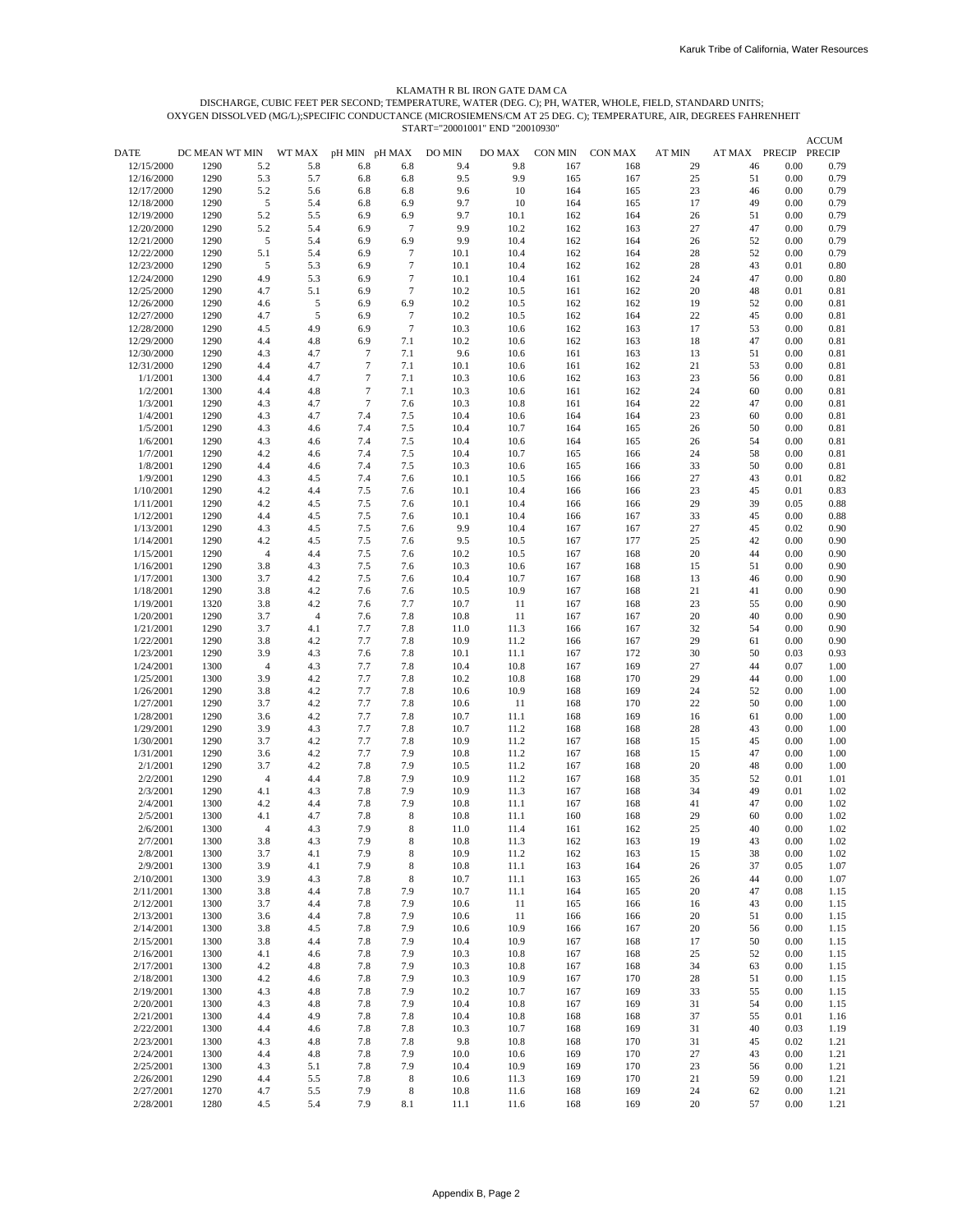#### KLAMATH R BL IRON GATE DAM CA

START="20001001" END "20010930" OXYGEN DISSOLVED (MG/L);SPECIFIC CONDUCTANCE (MICROSIEMENS/CM AT 25 DEG. C); TEMPERATURE, AIR, DEGREES FAHRENHEIT DISCHARGE, CUBIC FEET PER SECOND; TEMPERATURE, WATER (DEG. C); PH, WATER, WHOLE, FIELD, STANDARD UNITS;

|                          |                |                       |                |                  |                  |              |              |            |            |               |               |              | <b>ACCUM</b> |
|--------------------------|----------------|-----------------------|----------------|------------------|------------------|--------------|--------------|------------|------------|---------------|---------------|--------------|--------------|
| DATE                     | DC MEAN WT MIN |                       | WT MAX         | pH MIN pH MAX    |                  | DO MIN       | DO MAX       | CON MIN    | CON MAX    | <b>AT MIN</b> | AT MAX PRECIP |              | PRECIP       |
| 12/15/2000               | 1290           | 5.2                   | 5.8            | 6.8              | 6.8              | 9.4          | 9.8          | 167        | 168        | 29            | 46            | 0.00         | 0.79         |
| 12/16/2000               | 1290           | 5.3                   | 5.7            | 6.8              | 6.8              | 9.5          | 9.9          | 165        | 167        | 25            | 51            | 0.00         | 0.79         |
| 12/17/2000               | 1290           | 5.2                   | 5.6            | 6.8              | 6.8              | 9.6          | 10           | 164        | 165        | 23            | 46            | 0.00         | 0.79         |
| 12/18/2000               | 1290           | 5                     | 5.4            | 6.8              | 6.9              | 9.7          | 10           | 164        | 165        | 17            | 49            | 0.00         | 0.79         |
| 12/19/2000<br>12/20/2000 | 1290<br>1290   | 5.2<br>5.2            | 5.5<br>5.4     | 6.9<br>6.9       | 6.9<br>7         | 9.7<br>9.9   | 10.1<br>10.2 | 162<br>162 | 164<br>163 | 26<br>27      | 51<br>47      | 0.00<br>0.00 | 0.79<br>0.79 |
| 12/21/2000               | 1290           | 5                     | 5.4            | 6.9              | 6.9              | 9.9          | 10.4         | 162        | 164        | 26            | 52            | 0.00         | 0.79         |
| 12/22/2000               | 1290           | 5.1                   | 5.4            | 6.9              | $\overline{7}$   | 10.1         | 10.4         | 162        | 164        | 28            | 52            | 0.00         | 0.79         |
| 12/23/2000               | 1290           | 5                     | 5.3            | 6.9              | $\boldsymbol{7}$ | 10.1         | 10.4         | 162        | 162        | 28            | 43            | 0.01         | 0.80         |
| 12/24/2000               | 1290           | 4.9                   | 5.3            | 6.9              | $\tau$           | 10.1         | 10.4         | 161        | 162        | 24            | 47            | 0.00         | 0.80         |
| 12/25/2000               | 1290           | 4.7                   | 5.1            | 6.9              | $\tau$           | 10.2         | 10.5         | 161        | 162        | 20            | 48            | 0.01         | 0.81         |
| 12/26/2000               | 1290           | 4.6                   | 5              | 6.9              | 6.9              | 10.2         | 10.5         | 162        | 162        | 19            | 52            | 0.00         | 0.81         |
| 12/27/2000               | 1290           | 4.7                   | 5              | 6.9              | $\overline{7}$   | 10.2         | 10.5         | 162        | 164        | 22            | 45            | 0.00         | 0.81         |
| 12/28/2000               | 1290           | 4.5                   | 4.9            | 6.9              | $\overline{7}$   | 10.3         | 10.6         | 162        | 163        | 17            | 53            | 0.00         | 0.81         |
| 12/29/2000               | 1290           | 4.4                   | 4.8            | 6.9              | 7.1              | 10.2         | 10.6         | 162        | 163        | 18            | 47            | 0.00         | 0.81         |
| 12/30/2000               | 1290           | 4.3                   | 4.7            | $\tau$           | 7.1              | 9.6          | 10.6         | 161        | 163        | 13            | 51            | 0.00         | 0.81         |
| 12/31/2000               | 1290           | 4.4                   | 4.7            | $\overline{7}$   | 7.1              | 10.1         | 10.6         | 161        | 162        | 21            | 53            | 0.00         | 0.81         |
| 1/1/2001                 | 1300           | 4.4                   | 4.7            | $\boldsymbol{7}$ | 7.1              | 10.3         | 10.6         | 162        | 163        | 23            | 56            | 0.00         | 0.81         |
| 1/2/2001                 | 1300           | 4.4                   | 4.8            | $\tau$<br>$\tau$ | 7.1              | 10.3         | 10.6         | 161        | 162        | 24            | 60            | 0.00         | 0.81         |
| 1/3/2001<br>1/4/2001     | 1290<br>1290   | 4.3<br>4.3            | 4.7<br>4.7     | 7.4              | 7.6<br>7.5       | 10.3<br>10.4 | 10.8<br>10.6 | 161<br>164 | 164<br>164 | 22<br>23      | 47<br>60      | 0.00<br>0.00 | 0.81<br>0.81 |
| 1/5/2001                 | 1290           | 4.3                   | 4.6            | 7.4              | 7.5              | 10.4         | 10.7         | 164        | 165        | 26            | 50            | 0.00         | 0.81         |
| 1/6/2001                 | 1290           | 4.3                   | 4.6            | 7.4              | 7.5              | 10.4         | 10.6         | 164        | 165        | 26            | 54            | 0.00         | 0.81         |
| 1/7/2001                 | 1290           | 4.2                   | 4.6            | 7.4              | 7.5              | 10.4         | 10.7         | 165        | 166        | 24            | 58            | 0.00         | 0.81         |
| 1/8/2001                 | 1290           | 4.4                   | 4.6            | 7.4              | 7.5              | 10.3         | 10.6         | 165        | 166        | 33            | 50            | 0.00         | 0.81         |
| 1/9/2001                 | 1290           | 4.3                   | 4.5            | 7.4              | 7.6              | 10.1         | 10.5         | 166        | 166        | 27            | 43            | 0.01         | 0.82         |
| 1/10/2001                | 1290           | 4.2                   | 4.4            | 7.5              | 7.6              | 10.1         | 10.4         | 166        | 166        | 23            | 45            | 0.01         | 0.83         |
| 1/11/2001                | 1290           | 4.2                   | 4.5            | 7.5              | 7.6              | 10.1         | 10.4         | 166        | 166        | 29            | 39            | 0.05         | 0.88         |
| 1/12/2001                | 1290           | 4.4                   | 4.5            | 7.5              | 7.6              | 10.1         | 10.4         | 166        | 167        | 33            | 45            | 0.00         | 0.88         |
| 1/13/2001                | 1290           | 4.3                   | 4.5            | 7.5              | 7.6              | 9.9          | 10.4         | 167        | 167        | 27            | 45            | 0.02         | 0.90         |
| 1/14/2001                | 1290           | 4.2                   | 4.5            | 7.5              | 7.6              | 9.5          | 10.5         | 167        | 177        | 25            | 42            | 0.00         | 0.90         |
| 1/15/2001                | 1290           | $\overline{4}$        | 4.4            | 7.5              | 7.6              | 10.2         | 10.5         | 167        | 168        | 20            | 44            | 0.00         | 0.90         |
| 1/16/2001                | 1290           | 3.8                   | 4.3            | 7.5              | 7.6              | 10.3         | 10.6         | 167        | 168        | 15            | 51            | 0.00         | 0.90         |
| 1/17/2001                | 1300           | 3.7                   | 4.2            | 7.5              | 7.6              | 10.4         | 10.7         | 167        | 168        | 13            | 46            | 0.00         | 0.90         |
| 1/18/2001                | 1290           | 3.8<br>3.8            | 4.2<br>4.2     | 7.6<br>7.6       | 7.6<br>7.7       | 10.5<br>10.7 | 10.9<br>11   | 167<br>167 | 168<br>168 | 21<br>23      | 41<br>55      | 0.00<br>0.00 | 0.90<br>0.90 |
| 1/19/2001<br>1/20/2001   | 1320<br>1290   | 3.7                   | $\overline{4}$ | 7.6              | 7.8              | 10.8         | 11           | 167        | 167        | 20            | 40            | 0.00         | 0.90         |
| 1/21/2001                | 1290           | 3.7                   | 4.1            | 7.7              | 7.8              | 11.0         | 11.3         | 166        | 167        | 32            | 54            | 0.00         | 0.90         |
| 1/22/2001                | 1290           | 3.8                   | 4.2            | 7.7              | 7.8              | 10.9         | 11.2         | 166        | 167        | 29            | 61            | 0.00         | 0.90         |
| 1/23/2001                | 1290           | 3.9                   | 4.3            | 7.6              | 7.8              | 10.1         | 11.1         | 167        | 172        | 30            | 50            | 0.03         | 0.93         |
| 1/24/2001                | 1300           | $\overline{4}$        | 4.3            | 7.7              | 7.8              | 10.4         | 10.8         | 167        | 169        | 27            | 44            | 0.07         | 1.00         |
| 1/25/2001                | 1300           | 3.9                   | 4.2            | 7.7              | 7.8              | 10.2         | 10.8         | 168        | 170        | 29            | 44            | 0.00         | 1.00         |
| 1/26/2001                | 1290           | 3.8                   | 4.2            | 7.7              | 7.8              | 10.6         | 10.9         | 168        | 169        | 24            | 52            | 0.00         | 1.00         |
| 1/27/2001                | 1290           | 3.7                   | 4.2            | 7.7              | 7.8              | 10.6         | 11           | 168        | 170        | 22            | 50            | 0.00         | 1.00         |
| 1/28/2001                | 1290           | 3.6                   | 4.2            | 7.7              | 7.8              | 10.7         | 11.1         | 168        | 169        | 16            | 61            | 0.00         | 1.00         |
| 1/29/2001                | 1290           | 3.9                   | 4.3            | 7.7              | 7.8              | 10.7         | 11.2         | 168        | 168        | 28            | 43            | 0.00         | 1.00         |
| 1/30/2001                | 1290           | 3.7                   | 4.2            | 7.7              | 7.8              | 10.9         | 11.2         | 167        | 168        | 15            | 45            | 0.00         | 1.00         |
| 1/31/2001                | 1290           | 3.6                   | 4.2            | 7.7              | 7.9              | 10.8         | 11.2         | 167        | 168        | 15            | 47            | 0.00         | 1.00         |
| 2/1/2001                 | 1290           | 3.7                   | 4.2            | 7.8              | 7.9              | 10.5         | 11.2         | 167        | 168        | 20            | 48            | 0.00         | 1.00         |
| 2/2/2001<br>2/3/2001     | 1290           | $\overline{4}$<br>4.1 | 4.4<br>4.3     | 7.8<br>7.8       | 7.9<br>7.9       | 10.9<br>10.9 | 11.2<br>11.3 | 167<br>167 | 168<br>168 | 35<br>34      | 52<br>49      | 0.01<br>0.01 | 1.01<br>1.02 |
| 2/4/2001                 | 1290<br>1300   | 4.2                   | 4.4            | 7.8              | 7.9              | 10.8         | 11.1         | 167        | 168        | 41            | 47            | 0.00         | 1.02         |
| 2/5/2001                 | 1300           | 4.1                   | 4.7            | 7.8              | 8                | 10.8         | 11.1         | 160        | 168        | 29            | 60            | 0.00         | 1.02         |
| 2/6/2001                 | 1300           | $\overline{A}$        | 4.3            | 7.9              | 8                | 11.0         | 11.4         | 161        | 162        | 25            | 40            | 0.00         | 1.02         |
| 2/7/2001                 | 1300           | 3.8                   | 4.3            | 7.9              | 8                | 10.8         | 11.3         | 162        | 163        | 19            | 43            | 0.00         | 1.02         |
| 2/8/2001                 | 1300           | 3.7                   | 4.1            | 7.9              | 8                | 10.9         | 11.2         | 162        | 163        | 15            | 38            | 0.00         | 1.02         |
| 2/9/2001                 | 1300           | 3.9                   | 4.1            | 7.9              | 8                | 10.8         | 11.1         | 163        | 164        | 26            | 37            | 0.05         | 1.07         |
| 2/10/2001                | 1300           | 3.9                   | 4.3            | 7.8              | 8                | 10.7         | 11.1         | 163        | 165        | 26            | 44            | 0.00         | 1.07         |
| 2/11/2001                | 1300           | 3.8                   | 4.4            | 7.8              | 7.9              | 10.7         | 11.1         | 164        | 165        | 20            | 47            | 0.08         | 1.15         |
| 2/12/2001                | 1300           | 3.7                   | 4.4            | 7.8              | 7.9              | 10.6         | 11           | 165        | 166        | 16            | 43            | 0.00         | 1.15         |
| 2/13/2001                | 1300           | 3.6                   | 4.4            | 7.8              | 7.9              | 10.6         | 11           | 166        | 166        | 20            | 51            | 0.00         | 1.15         |
| 2/14/2001                | 1300           | 3.8                   | 4.5            | 7.8              | 7.9              | 10.6         | 10.9         | 166        | 167        | 20            | 56            | 0.00         | 1.15         |
| 2/15/2001                | 1300           | 3.8                   | 4.4            | 7.8              | 7.9              | 10.4         | 10.9         | 167        | 168        | 17            | 50            | 0.00         | 1.15         |
| 2/16/2001                | 1300           | 4.1                   | 4.6            | 7.8              | 7.9              | 10.3         | 10.8         | 167        | 168        | 25            | 52            | 0.00         | 1.15         |
| 2/17/2001                | 1300           | 4.2                   | 4.8            | 7.8              | 7.9              | 10.3         | 10.8         | 167        | 168        | 34            | 63            | 0.00         | 1.15         |
| 2/18/2001                | 1300           | 4.2                   | 4.6            | 7.8              | 7.9              | 10.3         | 10.9         | 167        | 170        | 28            | 51            | 0.00         | 1.15         |
| 2/19/2001<br>2/20/2001   | 1300<br>1300   | 4.3<br>4.3            | 4.8<br>4.8     | 7.8<br>7.8       | 7.9<br>7.9       | 10.2<br>10.4 | 10.7<br>10.8 | 167<br>167 | 169<br>169 | 33<br>31      | 55<br>54      | 0.00<br>0.00 | 1.15         |
| 2/21/2001                | 1300           | 4.4                   | 4.9            | 7.8              | 7.8              | 10.4         | 10.8         | 168        | 168        | 37            | 55            | 0.01         | 1.15<br>1.16 |
| 2/22/2001                | 1300           | 4.4                   | 4.6            | 7.8              | 7.8              | 10.3         | 10.7         | 168        | 169        | 31            | 40            | 0.03         | 1.19         |
| 2/23/2001                | 1300           | 4.3                   | 4.8            | 7.8              | 7.8              | 9.8          | 10.8         | 168        | 170        | 31            | 45            | 0.02         | 1.21         |
| 2/24/2001                | 1300           | 4.4                   | 4.8            | 7.8              | 7.9              | 10.0         | 10.6         | 169        | 170        | 27            | 43            | 0.00         | 1.21         |
| 2/25/2001                | 1300           | 4.3                   | 5.1            | 7.8              | 7.9              | 10.4         | 10.9         | 169        | 170        | 23            | 56            | 0.00         | 1.21         |
| 2/26/2001                | 1290           | 4.4                   | 5.5            | 7.8              | 8                | 10.6         | 11.3         | 169        | 170        | 21            | 59            | 0.00         | 1.21         |
| 2/27/2001                | 1270           | 4.7                   | 5.5            | 7.9              | 8                | 10.8         | 11.6         | 168        | 169        | 24            | 62            | 0.00         | 1.21         |
| 2/28/2001                | 1280           | 4.5                   | 5.4            | 7.9              | 8.1              | 11.1         | 11.6         | 168        | 169        | 20            | 57            | 0.00         | 1.21         |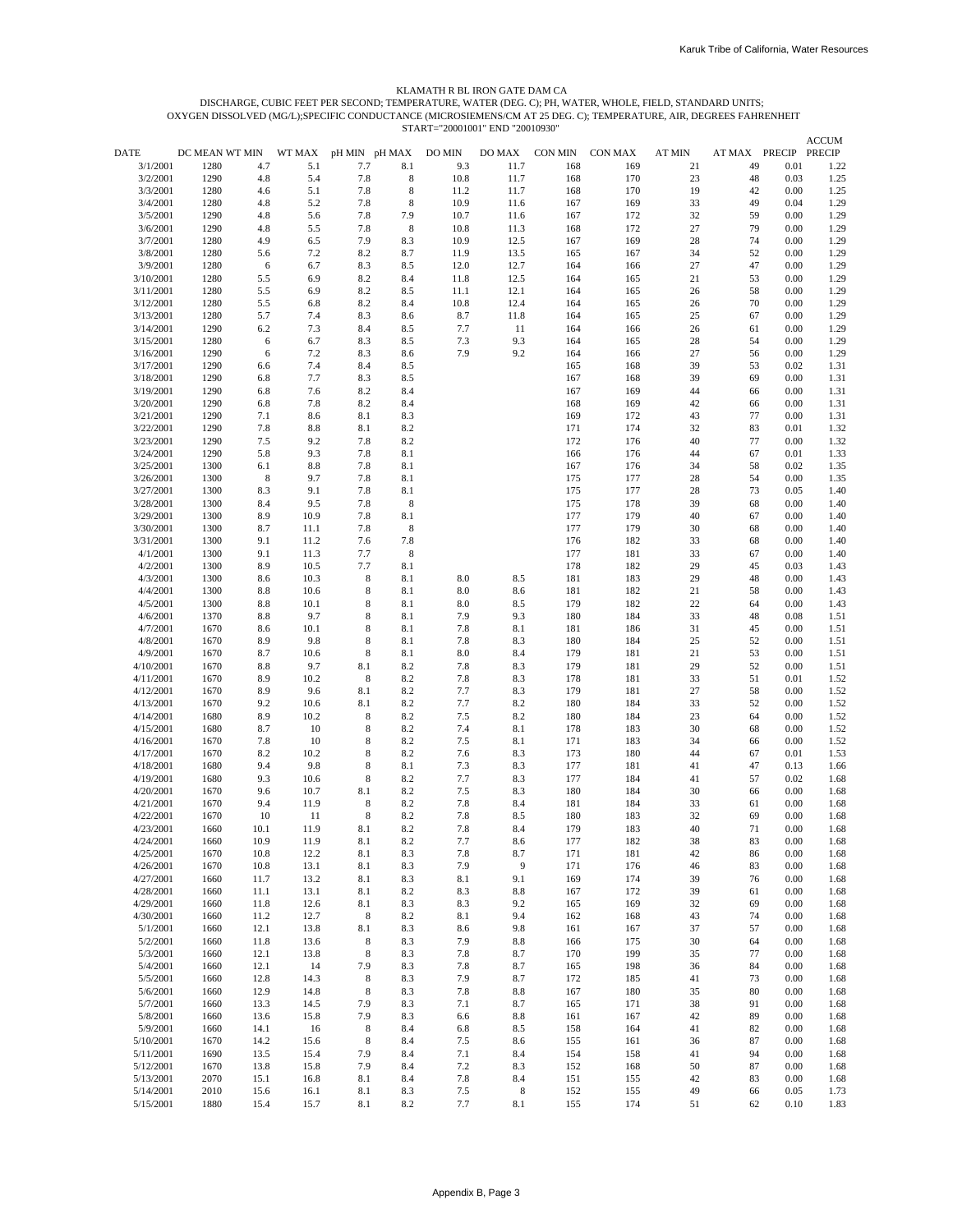# START="20001001" END "20010930" OXYGEN DISSOLVED (MG/L);SPECIFIC CONDUCTANCE (MICROSIEMENS/CM AT 25 DEG. C); TEMPERATURE, AIR, DEGREES FAHRENHEIT DISCHARGE, CUBIC FEET PER SECOND; TEMPERATURE, WATER (DEG. C); PH, WATER, WHOLE, FIELD, STANDARD UNITS; KLAMATH R BL IRON GATE DAM CA

|                        |                        |                |               |                      |             |               |                |                |                |              |                     |              | <b>ACCUM</b>          |
|------------------------|------------------------|----------------|---------------|----------------------|-------------|---------------|----------------|----------------|----------------|--------------|---------------------|--------------|-----------------------|
| DATE<br>3/1/2001       | DC MEAN WT MIN<br>1280 | 4.7            | WT MAX<br>5.1 | pH MIN pH MAX<br>7.7 | 8.1         | DO MIN<br>9.3 | DO MAX<br>11.7 | CON MIN<br>168 | CON MAX<br>169 | AT MIN<br>21 | AT MAX PRECIP<br>49 | 0.01         | <b>PRECIP</b><br>1.22 |
| 3/2/2001               | 1290                   | 4.8            | 5.4           | 7.8                  | 8           | 10.8          | 11.7           | 168            | 170            | 23           | 48                  | 0.03         | 1.25                  |
| 3/3/2001               | 1280                   | 4.6            | 5.1           | 7.8                  | 8           | 11.2          | 11.7           | 168            | 170            | 19           | 42                  | 0.00         | 1.25                  |
| 3/4/2001               | 1280                   | 4.8            | 5.2           | 7.8                  | 8           | 10.9          | 11.6           | 167            | 169            | 33           | 49                  | 0.04         | 1.29                  |
| 3/5/2001               | 1290                   | 4.8            | 5.6           | 7.8                  | 7.9         | 10.7          | 11.6           | 167            | 172            | 32           | 59                  | 0.00         | 1.29                  |
| 3/6/2001               | 1290                   | 4.8            | 5.5           | 7.8                  | 8           | 10.8          | 11.3           | 168            | 172            | 27           | 79                  | 0.00         | 1.29                  |
| 3/7/2001               | 1280                   | 4.9            | 6.5           | 7.9                  | 8.3         | 10.9          | 12.5           | 167            | 169            | 28           | 74                  | 0.00         | 1.29                  |
| 3/8/2001               | 1280                   | 5.6            | 7.2           | 8.2                  | 8.7         | 11.9          | 13.5           | 165            | 167            | 34           | 52                  | 0.00         | 1.29                  |
| 3/9/2001               | 1280                   | 6              | 6.7           | 8.3                  | 8.5         | 12.0          | 12.7           | 164            | 166            | 27           | 47                  | 0.00         | 1.29                  |
| 3/10/2001              | 1280                   | 5.5            | 6.9           | 8.2                  | 8.4         | 11.8          | 12.5           | 164            | 165            | 21           | 53                  | 0.00         | 1.29                  |
| 3/11/2001              | 1280                   | 5.5            | 6.9           | 8.2                  | 8.5         | 11.1          | 12.1           | 164            | 165            | 26           | 58                  | 0.00         | 1.29                  |
| 3/12/2001<br>3/13/2001 | 1280<br>1280           | 5.5<br>5.7     | 6.8<br>7.4    | 8.2<br>8.3           | 8.4<br>8.6  | 10.8<br>8.7   | 12.4<br>11.8   | 164<br>164     | 165<br>165     | 26<br>25     | 70<br>67            | 0.00<br>0.00 | 1.29<br>1.29          |
| 3/14/2001              | 1290                   | 6.2            | 7.3           | 8.4                  | 8.5         | 7.7           | 11             | 164            | 166            | 26           | 61                  | 0.00         | 1.29                  |
| 3/15/2001              | 1280                   | 6              | 6.7           | 8.3                  | 8.5         | 7.3           | 9.3            | 164            | 165            | 28           | 54                  | 0.00         | 1.29                  |
| 3/16/2001              | 1290                   | 6              | 7.2           | 8.3                  | 8.6         | 7.9           | 9.2            | 164            | 166            | 27           | 56                  | 0.00         | 1.29                  |
| 3/17/2001              | 1290                   | 6.6            | 7.4           | 8.4                  | 8.5         |               |                | 165            | 168            | 39           | 53                  | 0.02         | 1.31                  |
| 3/18/2001              | 1290                   | 6.8            | 7.7           | 8.3                  | 8.5         |               |                | 167            | 168            | 39           | 69                  | 0.00         | 1.31                  |
| 3/19/2001              | 1290                   | 6.8            | 7.6           | 8.2                  | 8.4         |               |                | 167            | 169            | 44           | 66                  | 0.00         | 1.31                  |
| 3/20/2001              | 1290                   | 6.8            | 7.8           | 8.2                  | 8.4         |               |                | 168            | 169            | 42           | 66                  | 0.00         | 1.31                  |
| 3/21/2001              | 1290                   | 7.1            | 8.6           | 8.1                  | 8.3         |               |                | 169            | 172            | 43           | 77                  | 0.00         | 1.31                  |
| 3/22/2001              | 1290                   | 7.8            | 8.8           | 8.1                  | 8.2         |               |                | 171            | 174            | 32           | 83                  | 0.01         | 1.32                  |
| 3/23/2001              | 1290<br>1290           | 7.5            | 9.2           | 7.8<br>7.8           | 8.2         |               |                | 172            | 176            | 40           | 77                  | 0.00<br>0.01 | 1.32                  |
| 3/24/2001<br>3/25/2001 | 1300                   | 5.8<br>6.1     | 9.3<br>8.8    | 7.8                  | 8.1<br>8.1  |               |                | 166<br>167     | 176<br>176     | 44<br>34     | 67<br>58            | 0.02         | 1.33<br>1.35          |
| 3/26/2001              | 1300                   | $8\phantom{1}$ | 9.7           | 7.8                  | 8.1         |               |                | 175            | 177            | 28           | 54                  | 0.00         | 1.35                  |
| 3/27/2001              | 1300                   | 8.3            | 9.1           | 7.8                  | 8.1         |               |                | 175            | 177            | 28           | 73                  | 0.05         | 1.40                  |
| 3/28/2001              | 1300                   | 8.4            | 9.5           | 7.8                  | 8           |               |                | 175            | 178            | 39           | 68                  | 0.00         | 1.40                  |
| 3/29/2001              | 1300                   | 8.9            | 10.9          | 7.8                  | 8.1         |               |                | 177            | 179            | 40           | 67                  | 0.00         | 1.40                  |
| 3/30/2001              | 1300                   | 8.7            | 11.1          | 7.8                  | 8           |               |                | 177            | 179            | 30           | 68                  | 0.00         | 1.40                  |
| 3/31/2001              | 1300                   | 9.1            | 11.2          | 7.6                  | 7.8         |               |                | 176            | 182            | 33           | 68                  | 0.00         | 1.40                  |
| 4/1/2001               | 1300                   | 9.1            | 11.3          | 7.7                  | $\,$ 8 $\,$ |               |                | 177            | 181            | 33           | 67                  | 0.00         | 1.40                  |
| 4/2/2001               | 1300                   | 8.9            | 10.5          | 7.7                  | 8.1         |               |                | 178            | 182            | 29           | 45                  | 0.03         | 1.43                  |
| 4/3/2001               | 1300                   | 8.6            | 10.3          | 8                    | 8.1         | 8.0           | 8.5            | 181            | 183            | 29           | 48                  | 0.00         | 1.43                  |
| 4/4/2001               | 1300                   | 8.8            | 10.6          | 8                    | 8.1         | 8.0           | 8.6            | 181            | 182            | 21           | 58                  | 0.00         | 1.43                  |
| 4/5/2001<br>4/6/2001   | 1300<br>1370           | 8.8<br>8.8     | 10.1<br>9.7   | 8<br>8               | 8.1<br>8.1  | 8.0<br>7.9    | 8.5<br>9.3     | 179<br>180     | 182<br>184     | 22<br>33     | 64<br>48            | 0.00<br>0.08 | 1.43<br>1.51          |
| 4/7/2001               | 1670                   | 8.6            | 10.1          | 8                    | 8.1         | 7.8           | 8.1            | 181            | 186            | 31           | 45                  | 0.00         | 1.51                  |
| 4/8/2001               | 1670                   | 8.9            | 9.8           | 8                    | 8.1         | 7.8           | 8.3            | 180            | 184            | 25           | 52                  | 0.00         | 1.51                  |
| 4/9/2001               | 1670                   | 8.7            | 10.6          | 8                    | 8.1         | 8.0           | 8.4            | 179            | 181            | 21           | 53                  | 0.00         | 1.51                  |
| 4/10/2001              | 1670                   | 8.8            | 9.7           | 8.1                  | 8.2         | 7.8           | 8.3            | 179            | 181            | 29           | 52                  | 0.00         | 1.51                  |
| 4/11/2001              | 1670                   | 8.9            | 10.2          | 8                    | 8.2         | 7.8           | 8.3            | 178            | 181            | 33           | 51                  | 0.01         | 1.52                  |
| 4/12/2001              | 1670                   | 8.9            | 9.6           | 8.1                  | 8.2         | 7.7           | 8.3            | 179            | 181            | 27           | 58                  | 0.00         | 1.52                  |
| 4/13/2001              | 1670                   | 9.2            | 10.6          | 8.1                  | 8.2         | 7.7           | 8.2            | 180            | 184            | 33           | 52                  | 0.00         | 1.52                  |
| 4/14/2001              | 1680                   | 8.9            | 10.2          | 8                    | 8.2         | 7.5           | 8.2            | 180            | 184            | 23           | 64                  | 0.00         | 1.52                  |
| 4/15/2001              | 1680                   | 8.7            | 10            | 8                    | 8.2         | 7.4           | 8.1            | 178            | 183            | 30           | 68                  | 0.00         | 1.52                  |
| 4/16/2001<br>4/17/2001 | 1670<br>1670           | 7.8<br>8.2     | 10<br>10.2    | 8<br>8               | 8.2<br>8.2  | 7.5<br>7.6    | 8.1<br>8.3     | 171<br>173     | 183<br>180     | 34<br>44     | 66<br>67            | 0.00<br>0.01 | 1.52                  |
| 4/18/2001              | 1680                   | 9.4            | 9.8           | 8                    | 8.1         | 7.3           | 8.3            | 177            | 181            | 41           | 47                  | 0.13         | 1.53<br>1.66          |
| 4/19/2001              | 1680                   | 9.3            | 10.6          | 8                    | 8.2         | 7.7           | 8.3            | 177            | 184            | 41           | 57                  | 0.02         | 1.68                  |
| 4/20/2001              | 1670                   | 9.6            | 10.7          | 8.1                  | 8.2         | 7.5           | 8.3            | 180            | 184            | 30           | 66                  | 0.00         | 1.68                  |
| 4/21/2001              | 1670                   | 9.4            | 11.9          | 8                    | 8.2         | 7.8           | 8.4            | 181            | 184            | 33           | 61                  | 0.00         | 1.68                  |
| 4/22/2001              | 1670                   | 10             | 11            | 8                    | 8.2         | 7.8           | 8.5            | 180            | 183            | 32           | 69                  | 0.00         | 1.68                  |
| 4/23/2001              | 1660                   | 10.1           | 11.9          | 8.1                  | 8.2         | 7.8           | 8.4            | 179            | 183            | 40           | 71                  | 0.00         | 1.68                  |
| 4/24/2001              | 1660                   | 10.9           | 11.9          | 8.1                  | 8.2         | 7.7           | 8.6            | 177            | 182            | 38           | 83                  | 0.00         | 1.68                  |
| 4/25/2001              | 1670                   | $10.8\,$       | 12.2          | 8.1                  | 8.3         | 7.8           | 8.7            | 171            | 181            | 42           | 86                  | 0.00         | 1.68                  |
| 4/26/2001              | 1670                   | 10.8           | 13.1          | 8.1                  | 8.3         | 7.9           | $\overline{9}$ | 171            | 176            | 46           | 83                  | 0.00         | 1.68                  |
| 4/27/2001<br>4/28/2001 | 1660<br>1660           | 11.7<br>11.1   | 13.2<br>13.1  | 8.1                  | 8.3         | 8.1<br>8.3    | 9.1            | 169<br>167     | 174<br>172     | 39           | 76                  | 0.00<br>0.00 | 1.68                  |
| 4/29/2001              | 1660                   | 11.8           | 12.6          | 8.1<br>8.1           | 8.2<br>8.3  | 8.3           | $8.8\,$<br>9.2 | 165            | 169            | 39<br>32     | 61<br>69            | 0.00         | 1.68<br>1.68          |
| 4/30/2001              | 1660                   | 11.2           | 12.7          | 8                    | 8.2         | 8.1           | 9.4            | 162            | 168            | 43           | 74                  | 0.00         | 1.68                  |
| 5/1/2001               | 1660                   | 12.1           | 13.8          | 8.1                  | 8.3         | 8.6           | 9.8            | 161            | 167            | 37           | 57                  | 0.00         | 1.68                  |
| 5/2/2001               | 1660                   | 11.8           | 13.6          | 8                    | 8.3         | 7.9           | 8.8            | 166            | 175            | 30           | 64                  | 0.00         | 1.68                  |
| 5/3/2001               | 1660                   | 12.1           | 13.8          | 8                    | 8.3         | 7.8           | 8.7            | 170            | 199            | 35           | 77                  | 0.00         | 1.68                  |
| 5/4/2001               | 1660                   | 12.1           | 14            | 7.9                  | 8.3         | 7.8           | 8.7            | 165            | 198            | 36           | 84                  | 0.00         | 1.68                  |
| 5/5/2001               | 1660                   | 12.8           | 14.3          | 8                    | 8.3         | 7.9           | 8.7            | 172            | 185            | 41           | 73                  | 0.00         | 1.68                  |
| 5/6/2001               | 1660                   | 12.9           | 14.8          | 8                    | 8.3         | 7.8           | 8.8            | 167            | 180            | 35           | 80                  | 0.00         | 1.68                  |
| 5/7/2001               | 1660                   | 13.3           | 14.5          | 7.9                  | 8.3         | 7.1           | 8.7            | 165            | 171            | 38           | 91                  | 0.00         | 1.68                  |
| 5/8/2001               | 1660                   | 13.6           | 15.8          | 7.9                  | 8.3         | 6.6           | 8.8            | 161            | 167            | 42           | 89                  | 0.00         | 1.68                  |
| 5/9/2001<br>5/10/2001  | 1660<br>1670           | 14.1<br>14.2   | 16<br>15.6    | 8<br>8               | 8.4<br>8.4  | 6.8<br>7.5    | 8.5            | 158<br>155     | 164<br>161     | 41<br>36     | 82<br>87            | 0.00<br>0.00 | 1.68                  |
| 5/11/2001              | 1690                   | 13.5           | 15.4          | 7.9                  | 8.4         | 7.1           | 8.6<br>8.4     | 154            | 158            | 41           | 94                  | 0.00         | 1.68<br>1.68          |
| 5/12/2001              | 1670                   | 13.8           | 15.8          | 7.9                  | 8.4         | 7.2           | 8.3            | 152            | 168            | 50           | 87                  | 0.00         | 1.68                  |
| 5/13/2001              | 2070                   | 15.1           | 16.8          | 8.1                  | 8.4         | 7.8           | 8.4            | 151            | 155            | 42           | 83                  | 0.00         | 1.68                  |
| 5/14/2001              | 2010                   | 15.6           | 16.1          | 8.1                  | 8.3         | 7.5           | 8              | 152            | 155            | 49           | 66                  | 0.05         | 1.73                  |
| 5/15/2001              | 1880                   | 15.4           | 15.7          | 8.1                  | 8.2         | 7.7           | 8.1            | 155            | 174            | 51           | 62                  | 0.10         | 1.83                  |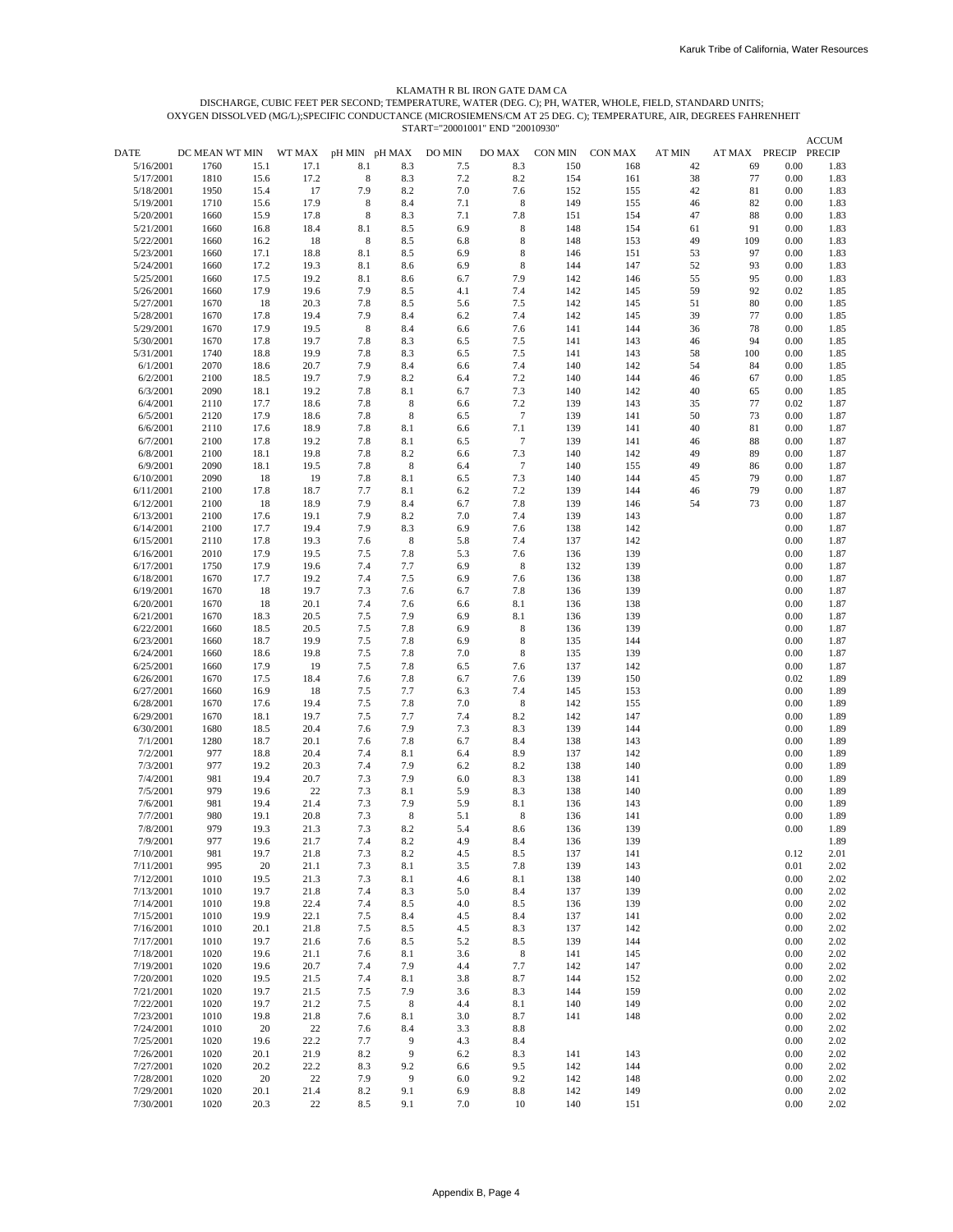#### KLAMATH R BL IRON GATE DAM CA

START="20001001" END "20010930" OXYGEN DISSOLVED (MG/L);SPECIFIC CONDUCTANCE (MICROSIEMENS/CM AT 25 DEG. C); TEMPERATURE, AIR, DEGREES FAHRENHEIT DISCHARGE, CUBIC FEET PER SECOND; TEMPERATURE, WATER (DEG. C); PH, WATER, WHOLE, FIELD, STANDARD UNITS;

|                        |                |              |              |               |            | $517W1 - 20001001$ LIVE |                |                |            |               |                      |              | <b>ACCUM</b> |
|------------------------|----------------|--------------|--------------|---------------|------------|-------------------------|----------------|----------------|------------|---------------|----------------------|--------------|--------------|
| DATE                   | DC MEAN WT MIN |              | WT MAX       | pH MIN pH MAX |            | DO MIN                  | DO MAX         | <b>CON MIN</b> | CON MAX    | <b>AT MIN</b> | AT MAX PRECIP PRECIP |              |              |
| 5/16/2001              | 1760           | 15.1         | 17.1         | 8.1           | 8.3        | 7.5                     | 8.3            | 150            | 168        | 42            | 69                   | 0.00         | 1.83         |
| 5/17/2001              | 1810           | 15.6         | 17.2         | 8             | 8.3        | 7.2                     | 8.2            | 154            | 161        | 38            | 77                   | 0.00         | 1.83         |
| 5/18/2001              | 1950           | 15.4         | 17           | 7.9           | 8.2        | 7.0                     | 7.6            | 152            | 155        | 42            | 81                   | 0.00         | 1.83         |
| 5/19/2001<br>5/20/2001 | 1710<br>1660   | 15.6<br>15.9 | 17.9<br>17.8 | 8<br>8        | 8.4<br>8.3 | 7.1<br>7.1              | 8<br>7.8       | 149<br>151     | 155<br>154 | 46<br>47      | 82<br>88             | 0.00<br>0.00 | 1.83<br>1.83 |
| 5/21/2001              | 1660           | 16.8         | 18.4         | 8.1           | 8.5        | 6.9                     | 8              | 148            | 154        | 61            | 91                   | 0.00         | 1.83         |
| 5/22/2001              | 1660           | 16.2         | 18           | 8             | 8.5        | 6.8                     | 8              | 148            | 153        | 49            | 109                  | 0.00         | 1.83         |
| 5/23/2001              | 1660           | 17.1         | 18.8         | 8.1           | 8.5        | 6.9                     | 8              | 146            | 151        | 53            | 97                   | 0.00         | 1.83         |
| 5/24/2001              | 1660           | 17.2         | 19.3         | 8.1           | 8.6        | 6.9                     | 8              | 144            | 147        | 52            | 93                   | 0.00         | 1.83         |
| 5/25/2001              | 1660           | 17.5         | 19.2         | 8.1           | 8.6        | 6.7                     | 7.9            | 142            | 146        | 55            | 95                   | 0.00         | 1.83         |
| 5/26/2001<br>5/27/2001 | 1660<br>1670   | 17.9<br>18   | 19.6<br>20.3 | 7.9<br>7.8    | 8.5<br>8.5 | 4.1                     | 7.4<br>7.5     | 142<br>142     | 145<br>145 | 59<br>51      | 92<br>80             | 0.02         | 1.85         |
| 5/28/2001              | 1670           | 17.8         | 19.4         | 7.9           | 8.4        | 5.6<br>6.2              | 7.4            | 142            | 145        | 39            | 77                   | 0.00<br>0.00 | 1.85<br>1.85 |
| 5/29/2001              | 1670           | 17.9         | 19.5         | 8             | 8.4        | 6.6                     | 7.6            | 141            | 144        | 36            | 78                   | 0.00         | 1.85         |
| 5/30/2001              | 1670           | 17.8         | 19.7         | 7.8           | 8.3        | 6.5                     | 7.5            | 141            | 143        | 46            | 94                   | 0.00         | 1.85         |
| 5/31/2001              | 1740           | 18.8         | 19.9         | 7.8           | 8.3        | 6.5                     | 7.5            | 141            | 143        | 58            | 100                  | 0.00         | 1.85         |
| 6/1/2001               | 2070           | 18.6         | 20.7         | 7.9           | 8.4        | 6.6                     | 7.4            | 140            | 142        | 54            | 84                   | 0.00         | 1.85         |
| 6/2/2001               | 2100           | 18.5         | 19.7         | 7.9           | 8.2        | 6.4                     | 7.2            | 140            | 144        | 46            | 67                   | 0.00         | 1.85         |
| 6/3/2001<br>6/4/2001   | 2090<br>2110   | 18.1<br>17.7 | 19.2<br>18.6 | 7.8<br>7.8    | 8.1<br>8   | 6.7<br>6.6              | 7.3<br>7.2     | 140<br>139     | 142<br>143 | 40<br>35      | 65<br>77             | 0.00<br>0.02 | 1.85<br>1.87 |
| 6/5/2001               | 2120           | 17.9         | 18.6         | 7.8           | 8          | 6.5                     | $\overline{7}$ | 139            | 141        | 50            | 73                   | 0.00         | 1.87         |
| 6/6/2001               | 2110           | 17.6         | 18.9         | 7.8           | 8.1        | 6.6                     | 7.1            | 139            | 141        | 40            | 81                   | 0.00         | 1.87         |
| 6/7/2001               | 2100           | 17.8         | 19.2         | 7.8           | 8.1        | 6.5                     | $\tau$         | 139            | 141        | 46            | 88                   | 0.00         | 1.87         |
| 6/8/2001               | 2100           | 18.1         | 19.8         | 7.8           | 8.2        | 6.6                     | 7.3            | 140            | 142        | 49            | 89                   | 0.00         | 1.87         |
| 6/9/2001               | 2090           | 18.1         | 19.5         | 7.8           | 8          | 6.4                     | $\overline{7}$ | 140            | 155        | 49            | 86                   | 0.00         | 1.87         |
| 6/10/2001<br>6/11/2001 | 2090<br>2100   | 18<br>17.8   | 19<br>18.7   | 7.8<br>7.7    | 8.1<br>8.1 | 6.5<br>6.2              | 7.3<br>7.2     | 140<br>139     | 144<br>144 | 45<br>46      | 79<br>79             | 0.00<br>0.00 | 1.87<br>1.87 |
| 6/12/2001              | 2100           | 18           | 18.9         | 7.9           | 8.4        | 6.7                     | 7.8            | 139            | 146        | 54            | 73                   | 0.00         | 1.87         |
| 6/13/2001              | 2100           | 17.6         | 19.1         | 7.9           | 8.2        | 7.0                     | 7.4            | 139            | 143        |               |                      | 0.00         | 1.87         |
| 6/14/2001              | 2100           | 17.7         | 19.4         | 7.9           | 8.3        | 6.9                     | 7.6            | 138            | 142        |               |                      | 0.00         | 1.87         |
| 6/15/2001              | 2110           | 17.8         | 19.3         | 7.6           | 8          | 5.8                     | 7.4            | 137            | 142        |               |                      | 0.00         | 1.87         |
| 6/16/2001<br>6/17/2001 | 2010           | 17.9         | 19.5         | 7.5           | 7.8        | 5.3                     | 7.6            | 136            | 139        |               |                      | 0.00         | 1.87         |
| 6/18/2001              | 1750<br>1670   | 17.9<br>17.7 | 19.6<br>19.2 | 7.4<br>7.4    | 7.7<br>7.5 | 6.9<br>6.9              | 8<br>7.6       | 132<br>136     | 139<br>138 |               |                      | 0.00<br>0.00 | 1.87<br>1.87 |
| 6/19/2001              | 1670           | 18           | 19.7         | 7.3           | 7.6        | 6.7                     | 7.8            | 136            | 139        |               |                      | 0.00         | 1.87         |
| 6/20/2001              | 1670           | 18           | 20.1         | 7.4           | 7.6        | 6.6                     | 8.1            | 136            | 138        |               |                      | 0.00         | 1.87         |
| 6/21/2001              | 1670           | 18.3         | 20.5         | 7.5           | 7.9        | 6.9                     | 8.1            | 136            | 139        |               |                      | 0.00         | 1.87         |
| 6/22/2001              | 1660           | 18.5         | 20.5         | 7.5           | 7.8        | 6.9                     | 8              | 136            | 139        |               |                      | 0.00         | 1.87         |
| 6/23/2001              | 1660           | 18.7         | 19.9         | 7.5           | 7.8        | 6.9                     | 8              | 135            | 144        |               |                      | 0.00         | 1.87         |
| 6/24/2001<br>6/25/2001 | 1660<br>1660   | 18.6<br>17.9 | 19.8<br>19   | 7.5<br>7.5    | 7.8<br>7.8 | 7.0<br>6.5              | 8<br>7.6       | 135<br>137     | 139<br>142 |               |                      | 0.00<br>0.00 | 1.87<br>1.87 |
| 6/26/2001              | 1670           | 17.5         | 18.4         | 7.6           | 7.8        | 6.7                     | 7.6            | 139            | 150        |               |                      | 0.02         | 1.89         |
| 6/27/2001              | 1660           | 16.9         | 18           | 7.5           | 7.7        | 6.3                     | 7.4            | 145            | 153        |               |                      | 0.00         | 1.89         |
| 6/28/2001              | 1670           | 17.6         | 19.4         | 7.5           | 7.8        | 7.0                     | 8              | 142            | 155        |               |                      | 0.00         | 1.89         |
| 6/29/2001              | 1670           | 18.1         | 19.7         | 7.5           | 7.7        | 7.4                     | 8.2            | 142            | 147        |               |                      | 0.00         | 1.89         |
| 6/30/2001              | 1680           | 18.5         | 20.4         | 7.6           | 7.9        | 7.3                     | 8.3            | 139            | 144        |               |                      | 0.00         | 1.89         |
| 7/1/2001<br>7/2/2001   | 1280<br>977    | 18.7<br>18.8 | 20.1<br>20.4 | 7.6<br>7.4    | 7.8<br>8.1 | 6.7<br>6.4              | 8.4<br>8.9     | 138<br>137     | 143<br>142 |               |                      | 0.00<br>0.00 | 1.89<br>1.89 |
| 7/3/2001               | 977            | 19.2         | 20.3         | 7.4           | 7.9        | 6.2                     | 8.2            | 138            | 140        |               |                      | 0.00         | 1.89         |
| 7/4/2001               | 981            | 19.4         | 20.7         | 7.3           | 7.9        | 6.0                     | 8.3            | 138            | 141        |               |                      | 0.00         | 1.89         |
| 7/5/2001               | 979            | 19.6         | 22           | 7.3           | 8.1        | 5.9                     | 8.3            | 138            | 140        |               |                      | 0.00         | 1.89         |
| 7/6/2001               | 981            | 19.4         | 21.4         | 7.3           | 7.9        | 5.9                     | 8.1            | 136            | 143        |               |                      | 0.00         | 1.89         |
| 7/7/2001<br>7/8/2001   | 980<br>979     | 19.1         | 20.8         | 7.3           | 8          | 5.1<br>5.4              | 8              | 136            | 141        |               |                      | 0.00<br>0.00 | 1.89         |
| 7/9/2001               | 977            | 19.3<br>19.6 | 21.3<br>21.7 | 7.3<br>7.4    | 8.2<br>8.2 | 4.9                     | 8.6<br>8.4     | 136<br>136     | 139<br>139 |               |                      |              | 1.89<br>1.89 |
| 7/10/2001              | 981            | 19.7         | 21.8         | 7.3           | 8.2        | 4.5                     | 8.5            | 137            | 141        |               |                      | 0.12         | 2.01         |
| 7/11/2001              | 995            | 20           | 21.1         | 7.3           | 8.1        | 3.5                     | 7.8            | 139            | 143        |               |                      | 0.01         | 2.02         |
| 7/12/2001              | 1010           | 19.5         | 21.3         | 7.3           | 8.1        | 4.6                     | 8.1            | 138            | 140        |               |                      | 0.00         | 2.02         |
| 7/13/2001              | 1010           | 19.7         | 21.8         | 7.4           | 8.3        | 5.0                     | 8.4            | 137            | 139        |               |                      | 0.00         | 2.02         |
| 7/14/2001              | 1010           | 19.8         | 22.4         | 7.4           | 8.5        | 4.0                     | 8.5            | 136            | 139        |               |                      | 0.00         | 2.02         |
| 7/15/2001<br>7/16/2001 | 1010<br>1010   | 19.9<br>20.1 | 22.1<br>21.8 | 7.5<br>7.5    | 8.4<br>8.5 | 4.5<br>4.5              | 8.4<br>8.3     | 137<br>137     | 141<br>142 |               |                      | 0.00<br>0.00 | 2.02<br>2.02 |
| 7/17/2001              | 1010           | 19.7         | 21.6         | 7.6           | 8.5        | 5.2                     | 8.5            | 139            | 144        |               |                      | $0.00\,$     | 2.02         |
| 7/18/2001              | 1020           | 19.6         | 21.1         | 7.6           | 8.1        | 3.6                     | 8              | 141            | 145        |               |                      | 0.00         | 2.02         |
| 7/19/2001              | 1020           | 19.6         | 20.7         | 7.4           | 7.9        | 4.4                     | 7.7            | 142            | 147        |               |                      | 0.00         | 2.02         |
| 7/20/2001              | 1020           | 19.5         | 21.5         | 7.4           | 8.1        | 3.8                     | 8.7            | 144            | 152        |               |                      | 0.00         | 2.02         |
| 7/21/2001              | 1020           | 19.7         | 21.5         | 7.5           | 7.9        | 3.6                     | 8.3            | 144            | 159        |               |                      | 0.00         | 2.02         |
| 7/22/2001<br>7/23/2001 | 1020<br>1010   | 19.7<br>19.8 | 21.2         | 7.5<br>7.6    | 8          | 4.4<br>3.0              | 8.1            | 140<br>141     | 149<br>148 |               |                      | 0.00<br>0.00 | 2.02         |
| 7/24/2001              | 1010           | 20           | 21.8<br>22   | 7.6           | 8.1<br>8.4 | 3.3                     | 8.7<br>$8.8\,$ |                |            |               |                      | 0.00         | 2.02<br>2.02 |
| 7/25/2001              | 1020           | 19.6         | 22.2         | 7.7           | 9          | 4.3                     | 8.4            |                |            |               |                      | 0.00         | 2.02         |
| 7/26/2001              | 1020           | 20.1         | 21.9         | 8.2           | 9          | 6.2                     | 8.3            | 141            | 143        |               |                      | 0.00         | 2.02         |
| 7/27/2001              | 1020           | 20.2         | 22.2         | 8.3           | 9.2        | 6.6                     | 9.5            | 142            | 144        |               |                      | 0.00         | 2.02         |
| 7/28/2001              | 1020           | 20           | 22           | 7.9           | 9          | 6.0                     | 9.2            | 142            | 148        |               |                      | 0.00         | 2.02         |
| 7/29/2001              | 1020           | 20.1         | 21.4         | 8.2           | 9.1        | 6.9                     | $8.8\,$        | 142            | 149        |               |                      | 0.00         | 2.02         |
| 7/30/2001              | 1020           | 20.3         | 22           | 8.5           | 9.1        | 7.0                     | 10             | 140            | 151        |               |                      | 0.00         | 2.02         |